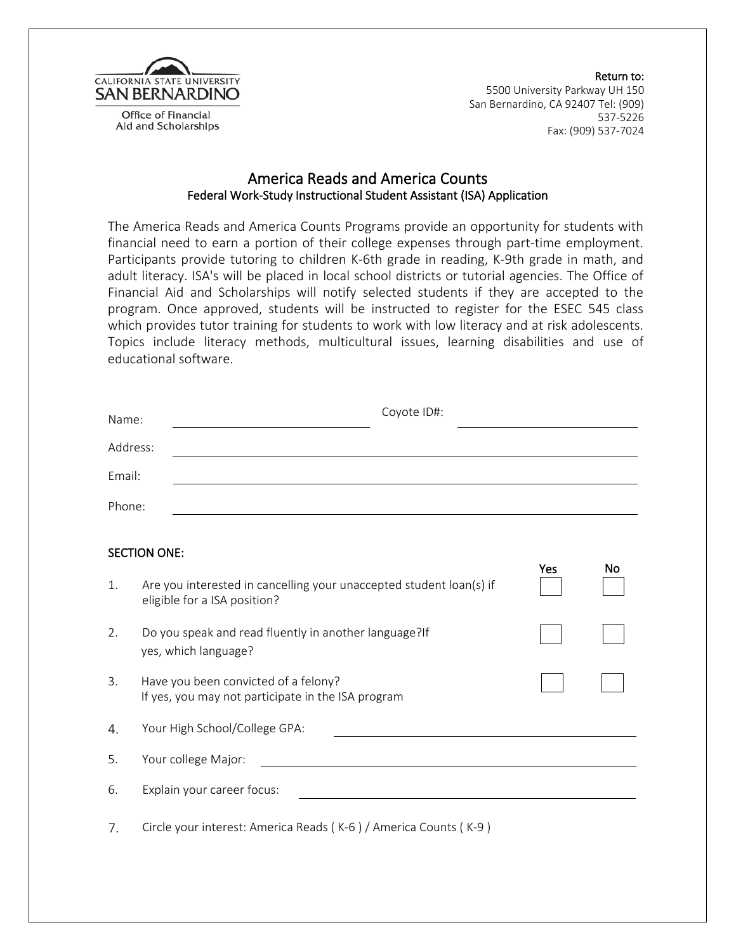

Office of Financial Aid and Scholarships

 Return to: 5500 University Parkway UH 150 San Bernardino, CA 92407 Tel: (909) 537-5226 Fax: (909) 537-7024

## America Reads and America Counts Federal Work-Study Instructional Student Assistant (ISA) Application

The America Reads and America Counts Programs provide an opportunity for students with financial need to earn a portion of their college expenses through part-time employment. Participants provide tutoring to children K-6th grade in reading, K-9th grade in math, and adult literacy. ISA's will be placed in local school districts or tutorial agencies. The Office of Financial Aid and Scholarships will notify selected students if they are accepted to the program. Once approved, students will be instructed to register for the ESEC 545 class which provides tutor training for students to work with low literacy and at risk adolescents. Topics include literacy methods, multicultural issues, learning disabilities and use of educational software.

| Name:                            | Coyote ID#:                                                                                         |  |  |
|----------------------------------|-----------------------------------------------------------------------------------------------------|--|--|
| Address:                         |                                                                                                     |  |  |
| Email:                           |                                                                                                     |  |  |
| Phone:                           | <u> 1980 - Johann Barn, amerikansk politiker (d. 1980)</u>                                          |  |  |
|                                  |                                                                                                     |  |  |
| <b>SECTION ONE:</b><br>Yes<br>No |                                                                                                     |  |  |
| 1.                               | Are you interested in cancelling your unaccepted student loan(s) if<br>eligible for a ISA position? |  |  |
| 2.                               | Do you speak and read fluently in another language?If<br>yes, which language?                       |  |  |
| 3.                               | Have you been convicted of a felony?<br>If yes, you may not participate in the ISA program          |  |  |
| 4.                               | Your High School/College GPA:                                                                       |  |  |
| 5.                               | Your college Major:                                                                                 |  |  |
| 6.                               | Explain your career focus:                                                                          |  |  |
| 7.                               | Circle your interest: America Reads (K-6) / America Counts (K-9)                                    |  |  |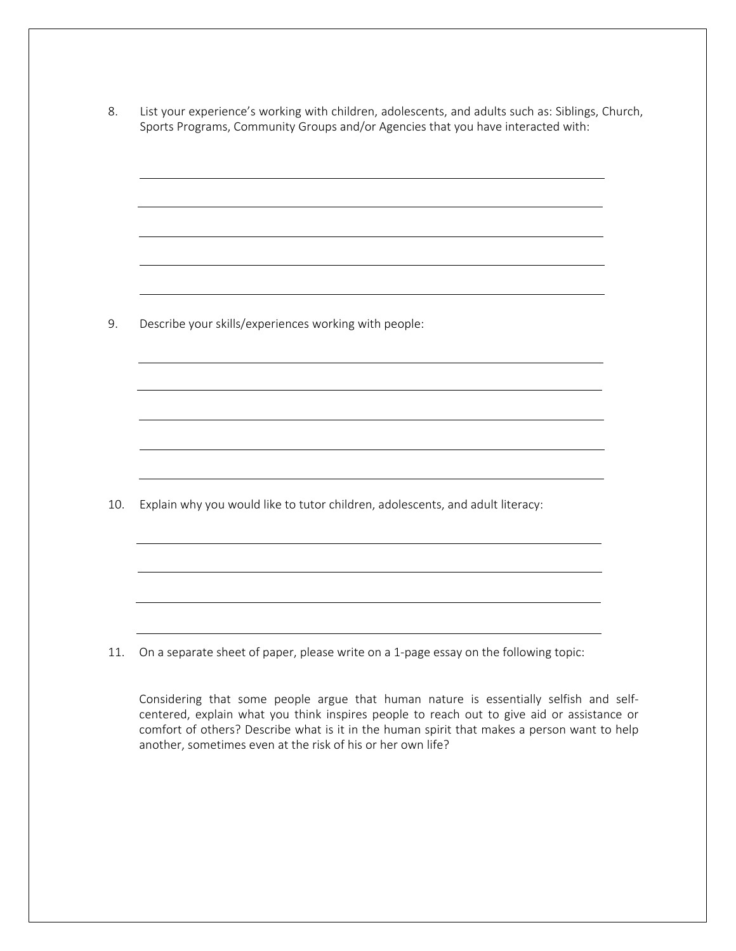8. List your experience's working with children, adolescents, and adults such as: Siblings, Church, Sports Programs, Community Groups and/or Agencies that you have interacted with:

9. Describe your skills/experiences working with people:

10. Explain why you would like to tutor children, adolescents, and adult literacy:

11. On a separate sheet of paper, please write on a 1-page essay on the following topic:

Considering that some people argue that human nature is essentially selfish and selfcentered, explain what you think inspires people to reach out to give aid or assistance or comfort of others? Describe what is it in the human spirit that makes a person want to help another, sometimes even at the risk of his or her own life?